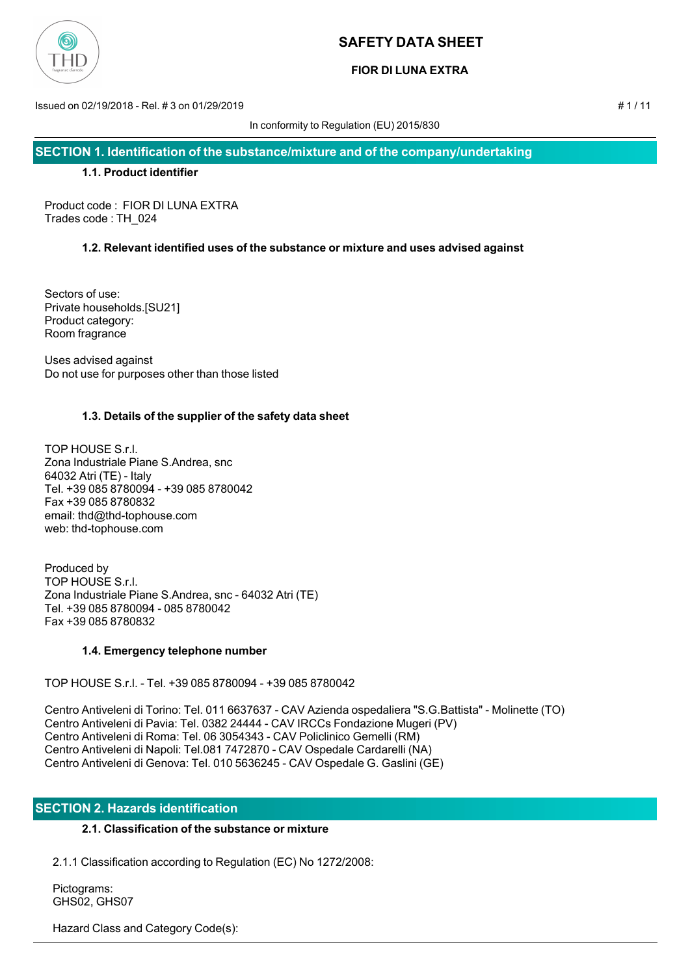

# **FIOR DI LUNA EXTRA**

Issued on 02/19/2018 - Rel. # 3 on 01/29/2019 # 1 / 11

In conformity to Regulation (EU) 2015/830

**SECTION 1. Identification of the substance/mixture and of the company/undertaking**

## **1.1. Product identifier**

Product code : FIOR DI LUNA EXTRA Trades code : TH\_024

# **1.2. Relevant identified uses of the substance or mixture and uses advised against**

Sectors of use: Private households.[SU21] Product category: Room fragrance

Uses advised against Do not use for purposes other than those listed

# **1.3. Details of the supplier of the safety data sheet**

TOP HOUSE S.r.l. Zona Industriale Piane S.Andrea, snc 64032 Atri (TE) - Italy Tel. +39 085 8780094 - +39 085 8780042 Fax +39 085 8780832 email: thd@thd-tophouse.com web: thd-tophouse.com

Produced by TOP HOUSE S.r.l. Zona Industriale Piane S.Andrea, snc - 64032 Atri (TE) Tel. +39 085 8780094 - 085 8780042 Fax +39 085 8780832

# **1.4. Emergency telephone number**

TOP HOUSE S.r.l. - Tel. +39 085 8780094 - +39 085 8780042

Centro Antiveleni di Torino: Tel. 011 6637637 - CAV Azienda ospedaliera "S.G.Battista" - Molinette (TO) Centro Antiveleni di Pavia: Tel. 0382 24444 - CAV IRCCs Fondazione Mugeri (PV) Centro Antiveleni di Roma: Tel. 06 3054343 - CAV Policlinico Gemelli (RM) Centro Antiveleni di Napoli: Tel.081 7472870 - CAV Ospedale Cardarelli (NA) Centro Antiveleni di Genova: Tel. 010 5636245 - CAV Ospedale G. Gaslini (GE)

# **SECTION 2. Hazards identification**

# **2.1. Classification of the substance or mixture**

2.1.1 Classification according to Regulation (EC) No 1272/2008:

 Pictograms: GHS02, GHS07

Hazard Class and Category Code(s):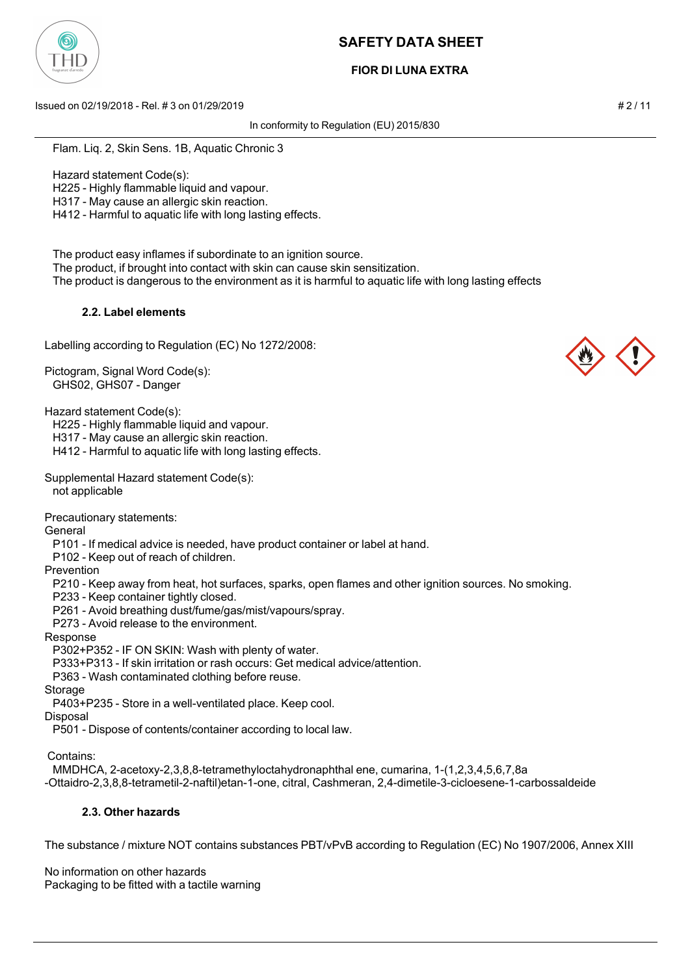

# **FIOR DI LUNA EXTRA**

Issued on 02/19/2018 - Rel. # 3 on 01/29/2019 # 2 / 11

In conformity to Regulation (EU) 2015/830

Flam. Liq. 2, Skin Sens. 1B, Aquatic Chronic 3

Hazard statement Code(s):

H225 - Highly flammable liquid and vapour.

H317 - May cause an allergic skin reaction.

H412 - Harmful to aquatic life with long lasting effects.

The product easy inflames if subordinate to an ignition source.

The product, if brought into contact with skin can cause skin sensitization.

The product is dangerous to the environment as it is harmful to aquatic life with long lasting effects

## **2.2. Label elements**

Labelling according to Regulation (EC) No 1272/2008:

Pictogram, Signal Word Code(s): GHS02, GHS07 - Danger

Hazard statement Code(s):

H225 - Highly flammable liquid and vapour.

H317 - May cause an allergic skin reaction.

H412 - Harmful to aquatic life with long lasting effects.

Supplemental Hazard statement Code(s): not applicable

Precautionary statements:

General

P101 - If medical advice is needed, have product container or label at hand.

P102 - Keep out of reach of children.

Prevention

P210 - Keep away from heat, hot surfaces, sparks, open flames and other ignition sources. No smoking.

P233 - Keep container tightly closed.

P261 - Avoid breathing dust/fume/gas/mist/vapours/spray.

P273 - Avoid release to the environment.

Response

P302+P352 - IF ON SKIN: Wash with plenty of water.

P333+P313 - If skin irritation or rash occurs: Get medical advice/attention.

P363 - Wash contaminated clothing before reuse.

Storage

P403+P235 - Store in a well-ventilated place. Keep cool.

Disposal

P501 - Dispose of contents/container according to local law.

Contains:

MMDHCA, 2-acetoxy-2,3,8,8-tetramethyloctahydronaphthal ene, cumarina, 1-(1,2,3,4,5,6,7,8a

-Ottaidro-2,3,8,8-tetrametil-2-naftil)etan-1-one, citral, Cashmeran, 2,4-dimetile-3-cicloesene-1-carbossaldeide

## **2.3. Other hazards**

The substance / mixture NOT contains substances PBT/vPvB according to Regulation (EC) No 1907/2006, Annex XIII

No information on other hazards Packaging to be fitted with a tactile warning

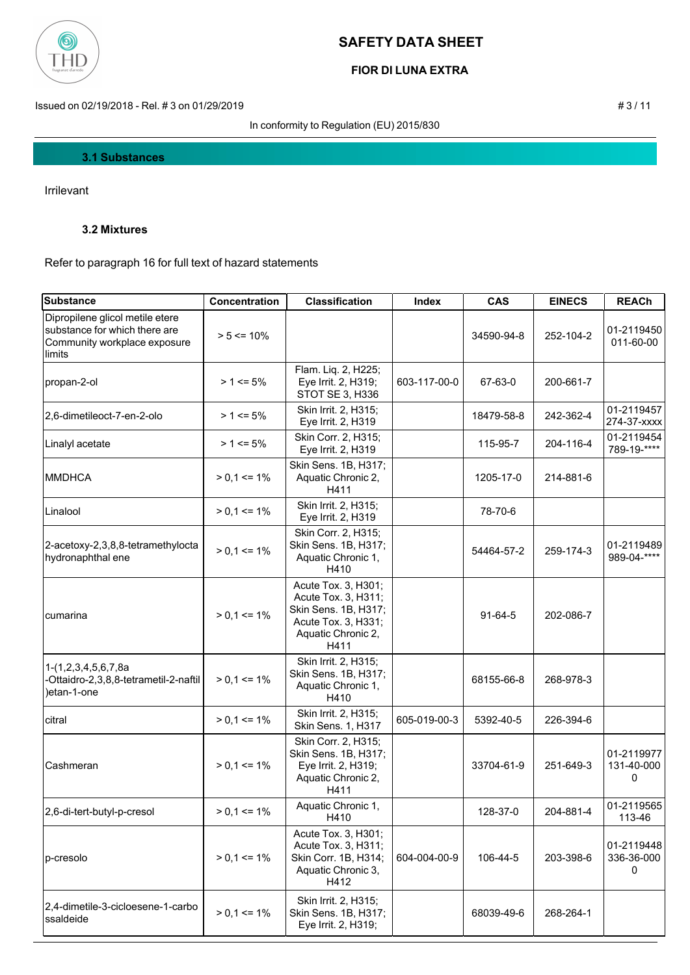

# **FIOR DI LUNA EXTRA**

Issued on 02/19/2018 - Rel. # 3 on 01/29/2019 # 3 / 11

In conformity to Regulation (EU) 2015/830

## **3.1 Substances**

Irrilevant

## **3.2 Mixtures**

Refer to paragraph 16 for full text of hazard statements

| <b>Substance</b>                                                                                           | <b>Concentration</b> | <b>Classification</b>                                                                                                   | Index        | <b>CAS</b> | <b>EINECS</b> | <b>REACh</b>                  |
|------------------------------------------------------------------------------------------------------------|----------------------|-------------------------------------------------------------------------------------------------------------------------|--------------|------------|---------------|-------------------------------|
| Dipropilene glicol metile etere<br>substance for which there are<br>Community workplace exposure<br>limits | $> 5 \le 10\%$       |                                                                                                                         |              | 34590-94-8 | 252-104-2     | 01-2119450<br>011-60-00       |
| propan-2-ol                                                                                                | $> 1 \le 5\%$        | Flam. Liq. 2, H225;<br>Eye Irrit. 2, H319;<br>STOT SE 3, H336                                                           | 603-117-00-0 | 67-63-0    | 200-661-7     |                               |
| 2,6-dimetileoct-7-en-2-olo                                                                                 | $> 1 \le 5\%$        | Skin Irrit. 2, H315;<br>Eye Irrit. 2, H319                                                                              |              | 18479-58-8 | 242-362-4     | 01-2119457<br>274-37-xxxx     |
| Linalyl acetate                                                                                            | $> 1 \le 5\%$        | Skin Corr. 2, H315;<br>Eye Irrit. 2, H319                                                                               |              | 115-95-7   | 204-116-4     | 01-2119454<br>789-19-****     |
| <b>MMDHCA</b>                                                                                              | $> 0.1 \le 1\%$      | Skin Sens. 1B, H317;<br>Aquatic Chronic 2,<br>H411                                                                      |              | 1205-17-0  | 214-881-6     |                               |
| Linalool                                                                                                   | $> 0.1 \le 1\%$      | Skin Irrit. 2, H315;<br>Eye Irrit. 2, H319                                                                              |              | 78-70-6    |               |                               |
| 2-acetoxy-2,3,8,8-tetramethylocta<br>hydronaphthal ene                                                     | $> 0.1 \le 1\%$      | Skin Corr. 2, H315;<br>Skin Sens. 1B, H317;<br>Aquatic Chronic 1,<br>H410                                               |              | 54464-57-2 | 259-174-3     | 01-2119489<br>989-04-****     |
| cumarina                                                                                                   | $> 0.1 \le 1\%$      | Acute Tox. 3, H301;<br>Acute Tox. 3, H311;<br>Skin Sens. 1B, H317;<br>Acute Tox. 3, H331;<br>Aquatic Chronic 2,<br>H411 |              | $91-64-5$  | 202-086-7     |                               |
| 1-(1,2,3,4,5,6,7,8a<br>-Ottaidro-2,3,8,8-tetrametil-2-naftil<br>)etan-1-one                                | $> 0.1 \le 1\%$      | Skin Irrit. 2, H315;<br>Skin Sens. 1B, H317;<br>Aquatic Chronic 1,<br>H410                                              |              | 68155-66-8 | 268-978-3     |                               |
| citral                                                                                                     | $> 0.1 \le 1\%$      | Skin Irrit. 2, H315;<br>Skin Sens. 1, H317                                                                              | 605-019-00-3 | 5392-40-5  | 226-394-6     |                               |
| Cashmeran                                                                                                  | $> 0.1 \le 1\%$      | Skin Corr. 2, H315;<br>Skin Sens. 1B, H317;<br>Eye Irrit. 2, H319;<br>Aquatic Chronic 2,<br>H411                        |              | 33704-61-9 | 251-649-3     | 01-2119977<br>131-40-000<br>0 |
| 2,6-di-tert-butyl-p-cresol                                                                                 | $> 0,1 \le 1\%$      | Aquatic Chronic 1,<br>H410                                                                                              |              | 128-37-0   | 204-881-4     | 01-2119565<br>113-46          |
| p-cresolo                                                                                                  | $> 0.1 \le 1\%$      | Acute Tox. 3, H301;<br>Acute Tox. 3, H311;<br>Skin Corr. 1B, H314;<br>Aquatic Chronic 3,<br>H412                        | 604-004-00-9 | 106-44-5   | 203-398-6     | 01-2119448<br>336-36-000<br>0 |
| 2,4-dimetile-3-cicloesene-1-carbo<br>ssaldeide                                                             | $> 0.1 \le 1\%$      | Skin Irrit. 2, H315;<br>Skin Sens. 1B, H317;<br>Eye Irrit. 2, H319;                                                     |              | 68039-49-6 | 268-264-1     |                               |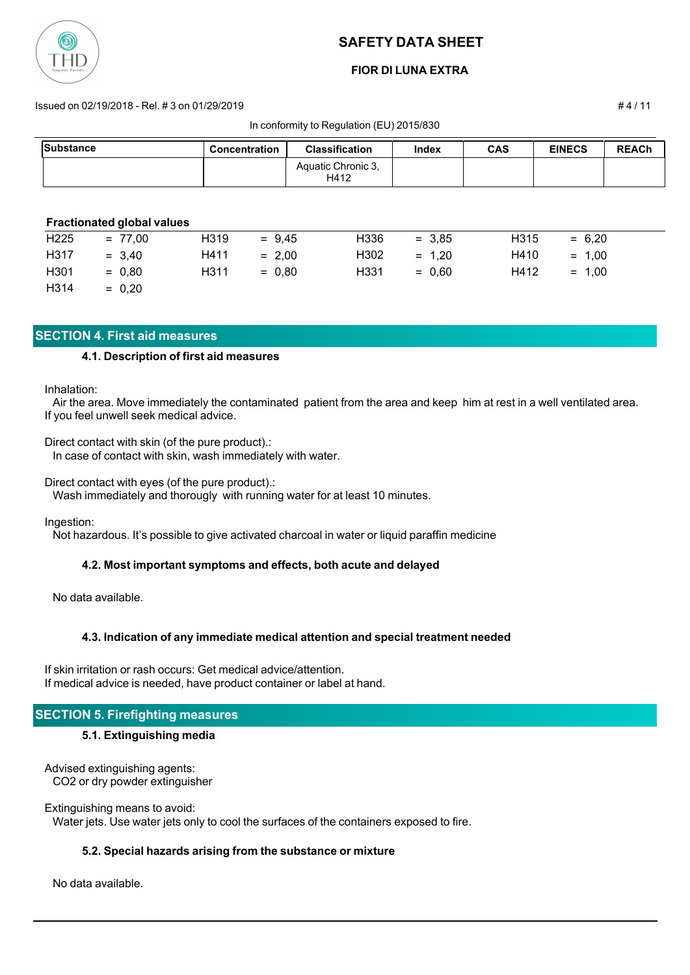

## **FIOR DI LUNA EXTRA**

#### Issued on 02/19/2018 - Rel. # 3 on 01/29/2019 # 4 / 11

In conformity to Regulation (EU) 2015/830

| Substance        |                                   | <b>Concentration</b> | <b>Classification</b>      | <b>Index</b> | <b>CAS</b>        | <b>EINECS</b> | <b>REACh</b> |
|------------------|-----------------------------------|----------------------|----------------------------|--------------|-------------------|---------------|--------------|
|                  |                                   |                      | Aquatic Chronic 3,<br>H412 |              |                   |               |              |
|                  |                                   |                      |                            |              |                   |               |              |
|                  | <b>Fractionated global values</b> |                      |                            |              |                   |               |              |
| H <sub>225</sub> | $= 77.00$                         | H319<br>$= 9.45$     | H <sub>336</sub>           | $= 3.85$     | H <sub>3</sub> 15 | $= 6,20$      |              |

H317 = 3,40 H411 = 2,00 H302 = 1,20 H410 = 1,00

H301 = 0,80 H311 = 0,80 H331 = 0,60 H412 = 1,00  $H314 = 0,20$ 

## **SECTION 4. First aid measures**

## **4.1. Description of first aid measures**

Inhalation:

 Air the area. Move immediately the contaminated patient from the area and keep him at rest in a well ventilated area. If you feel unwell seek medical advice.

Direct contact with skin (of the pure product).: In case of contact with skin, wash immediately with water.

Direct contact with eyes (of the pure product).:

Wash immediately and thorougly with running water for at least 10 minutes.

Ingestion:

Not hazardous. It's possible to give activated charcoal in water or liquid paraffin medicine

## **4.2. Most important symptoms and effects, both acute and delayed**

No data available.

## **4.3. Indication of any immediate medical attention and special treatment needed**

If skin irritation or rash occurs: Get medical advice/attention. If medical advice is needed, have product container or label at hand.

## **SECTION 5. Firefighting measures**

## **5.1. Extinguishing media**

Advised extinguishing agents: CO2 or dry powder extinguisher

Extinguishing means to avoid: Water jets. Use water jets only to cool the surfaces of the containers exposed to fire.

## **5.2. Special hazards arising from the substance or mixture**

No data available.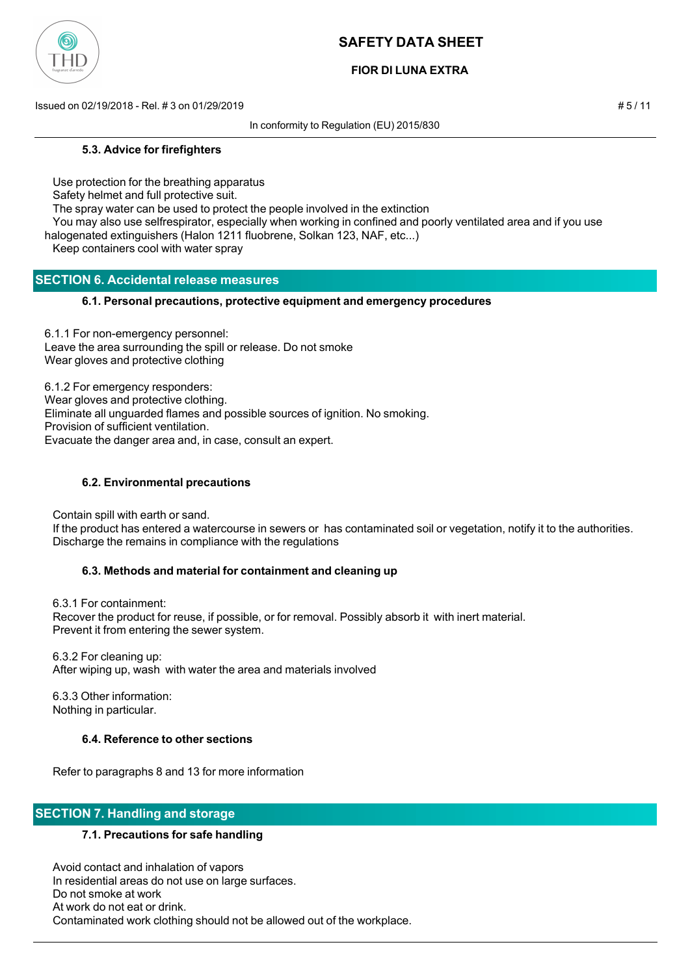

# **FIOR DI LUNA EXTRA**

Issued on 02/19/2018 - Rel. # 3 on 01/29/2019 # 5 / 11

In conformity to Regulation (EU) 2015/830

#### **5.3. Advice for firefighters**

Use protection for the breathing apparatus

Safety helmet and full protective suit.

The spray water can be used to protect the people involved in the extinction

 You may also use selfrespirator, especially when working in confined and poorly ventilated area and if you use halogenated extinguishers (Halon 1211 fluobrene, Solkan 123, NAF, etc...)

Keep containers cool with water spray

## **SECTION 6. Accidental release measures**

## **6.1. Personal precautions, protective equipment and emergency procedures**

6.1.1 For non-emergency personnel: Leave the area surrounding the spill or release. Do not smoke Wear gloves and protective clothing

6.1.2 For emergency responders: Wear gloves and protective clothing. Eliminate all unguarded flames and possible sources of ignition. No smoking. Provision of sufficient ventilation. Evacuate the danger area and, in case, consult an expert.

## **6.2. Environmental precautions**

Contain spill with earth or sand.

 If the product has entered a watercourse in sewers or has contaminated soil or vegetation, notify it to the authorities. Discharge the remains in compliance with the regulations

## **6.3. Methods and material for containment and cleaning up**

 6.3.1 For containment: Recover the product for reuse, if possible, or for removal. Possibly absorb it with inert material. Prevent it from entering the sewer system.

 6.3.2 For cleaning up: After wiping up, wash with water the area and materials involved

 6.3.3 Other information: Nothing in particular.

## **6.4. Reference to other sections**

Refer to paragraphs 8 and 13 for more information

# **SECTION 7. Handling and storage**

## **7.1. Precautions for safe handling**

 Avoid contact and inhalation of vapors In residential areas do not use on large surfaces. Do not smoke at work At work do not eat or drink. Contaminated work clothing should not be allowed out of the workplace.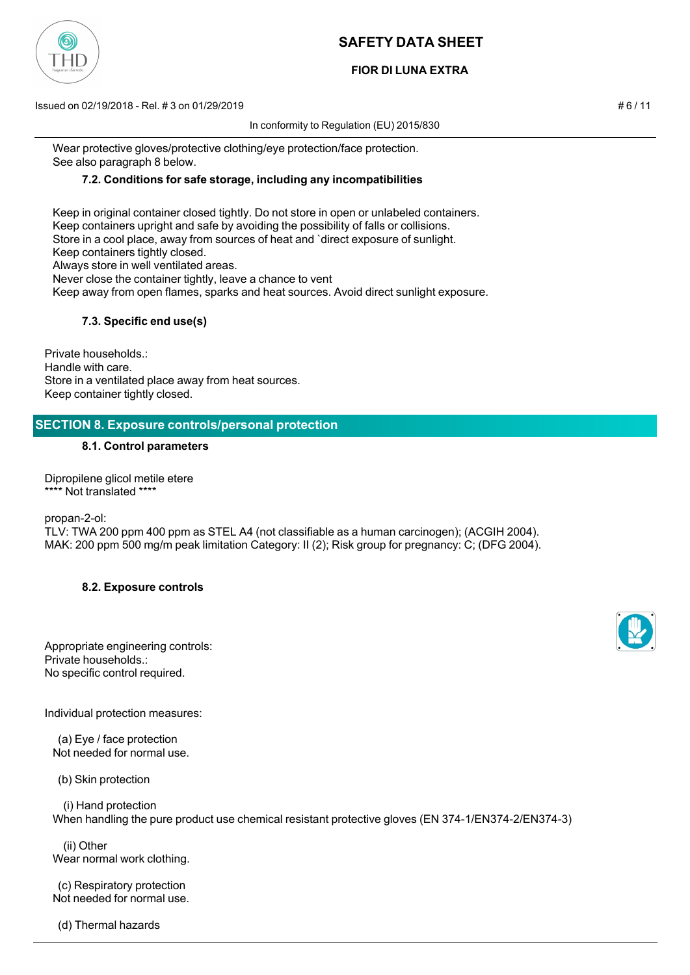# **FIOR DI LUNA EXTRA**

Issued on 02/19/2018 - Rel. # 3 on 01/29/2019 # 6 / 11

In conformity to Regulation (EU) 2015/830

 Wear protective gloves/protective clothing/eye protection/face protection. See also paragraph 8 below.

## **7.2. Conditions for safe storage, including any incompatibilities**

 Keep in original container closed tightly. Do not store in open or unlabeled containers. Keep containers upright and safe by avoiding the possibility of falls or collisions. Store in a cool place, away from sources of heat and `direct exposure of sunlight. Keep containers tightly closed. Always store in well ventilated areas. Never close the container tightly, leave a chance to vent Keep away from open flames, sparks and heat sources. Avoid direct sunlight exposure.

## **7.3. Specific end use(s)**

Private households.: Handle with care. Store in a ventilated place away from heat sources. Keep container tightly closed.

## **SECTION 8. Exposure controls/personal protection**

#### **8.1. Control parameters**

Dipropilene glicol metile etere \*\*\*\* Not translated \*\*\*\*

propan-2-ol:

TLV: TWA 200 ppm 400 ppm as STEL A4 (not classifiable as a human carcinogen); (ACGIH 2004). MAK: 200 ppm 500 mg/m peak limitation Category: II (2); Risk group for pregnancy: C; (DFG 2004).

## **8.2. Exposure controls**

Appropriate engineering controls: Private households.: No specific control required.

Individual protection measures:

 (a) Eye / face protection Not needed for normal use.

(b) Skin protection

 (i) Hand protection When handling the pure product use chemical resistant protective gloves (EN 374-1/EN374-2/EN374-3)

 (ii) Other Wear normal work clothing.

 (c) Respiratory protection Not needed for normal use.

(d) Thermal hazards





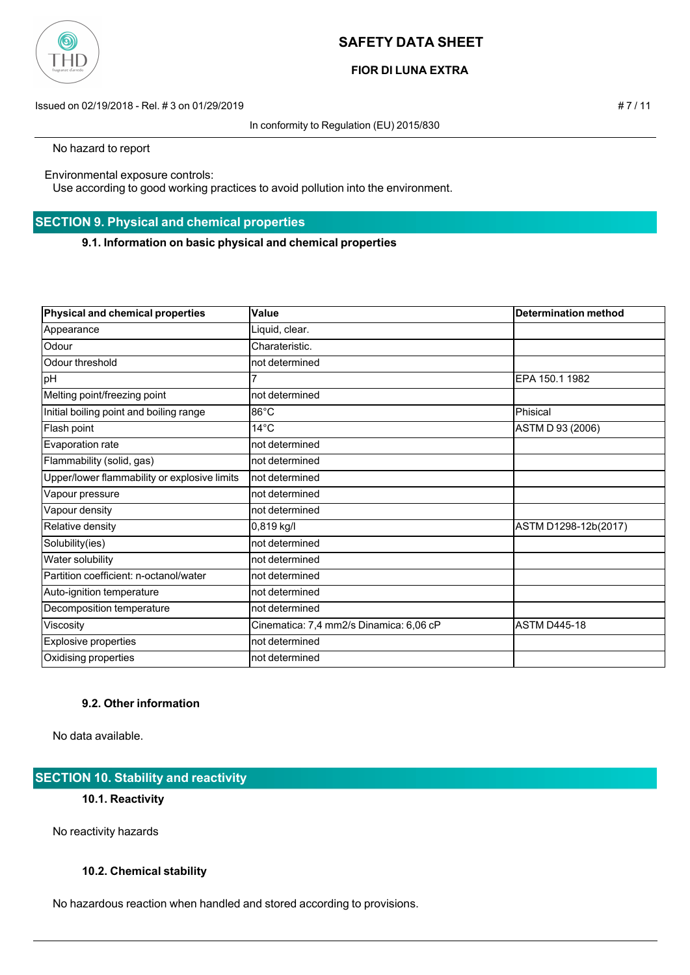

# **FIOR DI LUNA EXTRA**

Issued on 02/19/2018 - Rel. # 3 on 01/29/2019 # 7 / 11

In conformity to Regulation (EU) 2015/830

No hazard to report

Environmental exposure controls:

Use according to good working practices to avoid pollution into the environment.

# **SECTION 9. Physical and chemical properties**

**9.1. Information on basic physical and chemical properties**

| Physical and chemical properties             | Value                                   | <b>Determination method</b> |
|----------------------------------------------|-----------------------------------------|-----------------------------|
| Appearance                                   | Liquid, clear.                          |                             |
| Odour                                        | Charateristic.                          |                             |
| Odour threshold                              | not determined                          |                             |
| pH                                           |                                         | EPA 150.1 1982              |
| Melting point/freezing point                 | not determined                          |                             |
| Initial boiling point and boiling range      | 86°C                                    | Phisical                    |
| Flash point                                  | $14^{\circ}$ C                          | ASTM D 93 (2006)            |
| Evaporation rate                             | not determined                          |                             |
| Flammability (solid, gas)                    | not determined                          |                             |
| Upper/lower flammability or explosive limits | Inot determined                         |                             |
| Vapour pressure                              | not determined                          |                             |
| Vapour density                               | not determined                          |                             |
| Relative density                             | 0,819 kg/l                              | ASTM D1298-12b(2017)        |
| Solubility(ies)                              | not determined                          |                             |
| Water solubility                             | not determined                          |                             |
| Partition coefficient: n-octanol/water       | not determined                          |                             |
| Auto-ignition temperature                    | not determined                          |                             |
| Decomposition temperature                    | not determined                          |                             |
| Viscosity                                    | Cinematica: 7,4 mm2/s Dinamica: 6,06 cP | <b>ASTM D445-18</b>         |
| <b>Explosive properties</b>                  | not determined                          |                             |
| Oxidising properties                         | not determined                          |                             |

# **9.2. Other information**

No data available.

# **SECTION 10. Stability and reactivity**

# **10.1. Reactivity**

No reactivity hazards

# **10.2. Chemical stability**

No hazardous reaction when handled and stored according to provisions.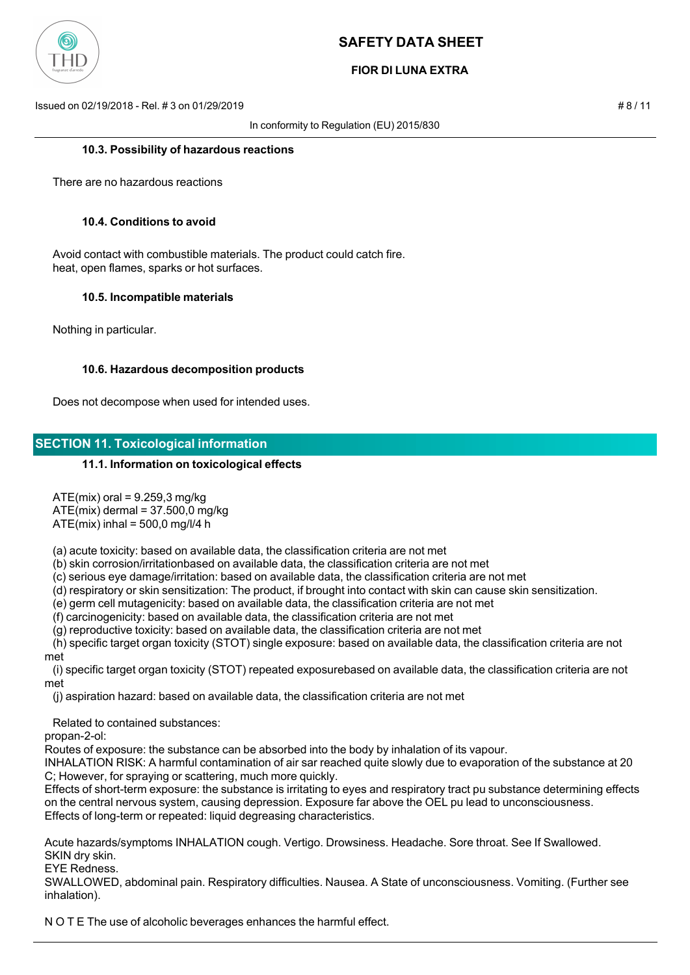

# **FIOR DI LUNA EXTRA**

Issued on 02/19/2018 - Rel. # 3 on 01/29/2019 # 8 / 11

In conformity to Regulation (EU) 2015/830

#### **10.3. Possibility of hazardous reactions**

There are no hazardous reactions

#### **10.4. Conditions to avoid**

 Avoid contact with combustible materials. The product could catch fire. heat, open flames, sparks or hot surfaces.

#### **10.5. Incompatible materials**

Nothing in particular.

#### **10.6. Hazardous decomposition products**

Does not decompose when used for intended uses.

## **SECTION 11. Toxicological information**

#### **11.1. Information on toxicological effects**

 $ATE(mix)$  oral = 9.259,3 mg/kg

 $ATE(mix)$  dermal = 37.500,0 mg/kg

 $ATE(mix)$  inhal = 500,0 mg/l/4 h

(a) acute toxicity: based on available data, the classification criteria are not met

(b) skin corrosion/irritationbased on available data, the classification criteria are not met

(c) serious eye damage/irritation: based on available data, the classification criteria are not met

(d) respiratory or skin sensitization: The product, if brought into contact with skin can cause skin sensitization.

(e) germ cell mutagenicity: based on available data, the classification criteria are not met

(f) carcinogenicity: based on available data, the classification criteria are not met

(g) reproductive toxicity: based on available data, the classification criteria are not met

 (h) specific target organ toxicity (STOT) single exposure: based on available data, the classification criteria are not met

 (i) specific target organ toxicity (STOT) repeated exposurebased on available data, the classification criteria are not met

(j) aspiration hazard: based on available data, the classification criteria are not met

Related to contained substances:

propan-2-ol:

Routes of exposure: the substance can be absorbed into the body by inhalation of its vapour.

INHALATION RISK: A harmful contamination of air sar reached quite slowly due to evaporation of the substance at 20 C; However, for spraying or scattering, much more quickly.

Effects of short-term exposure: the substance is irritating to eyes and respiratory tract pu substance determining effects on the central nervous system, causing depression. Exposure far above the OEL pu lead to unconsciousness. Effects of long-term or repeated: liquid degreasing characteristics.

Acute hazards/symptoms INHALATION cough. Vertigo. Drowsiness. Headache. Sore throat. See If Swallowed. SKIN dry skin.

EYE Redness.

SWALLOWED, abdominal pain. Respiratory difficulties. Nausea. A State of unconsciousness. Vomiting. (Further see inhalation).

N O T E The use of alcoholic beverages enhances the harmful effect.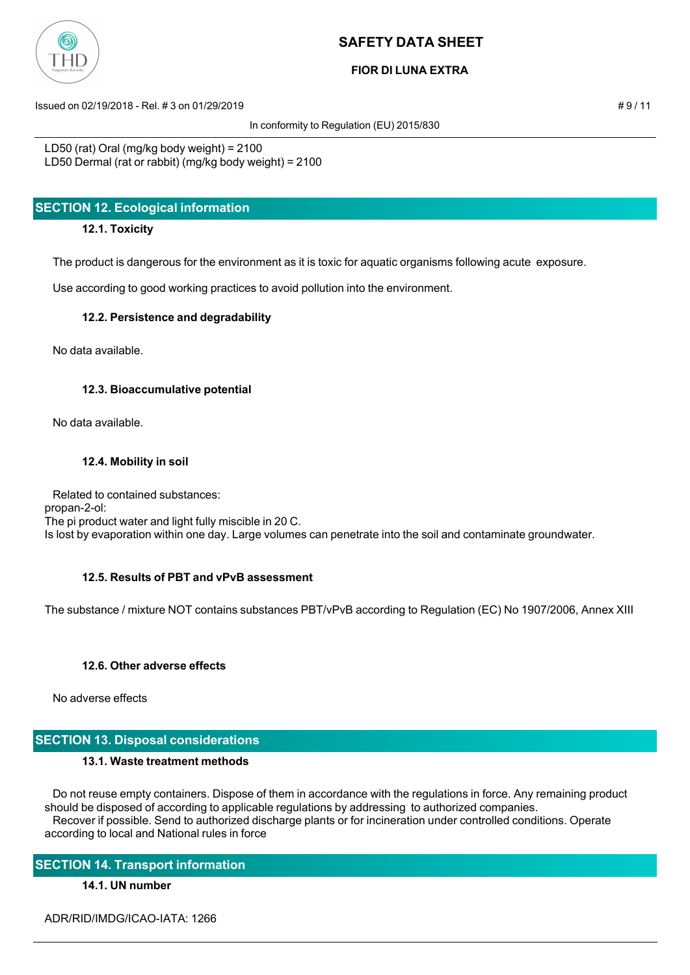

# **FIOR DI LUNA EXTRA**

Issued on 02/19/2018 - Rel. # 3 on 01/29/2019 **# 9 / 11**  $\neq$  9 / 11

In conformity to Regulation (EU) 2015/830

LD50 (rat) Oral (mg/kg body weight) = 2100 LD50 Dermal (rat or rabbit) (mg/kg body weight) = 2100

# **SECTION 12. Ecological information**

## **12.1. Toxicity**

The product is dangerous for the environment as it is toxic for aquatic organisms following acute exposure.

Use according to good working practices to avoid pollution into the environment.

## **12.2. Persistence and degradability**

No data available.

## **12.3. Bioaccumulative potential**

No data available.

## **12.4. Mobility in soil**

 Related to contained substances: propan-2-ol: The pi product water and light fully miscible in 20 C. Is lost by evaporation within one day. Large volumes can penetrate into the soil and contaminate groundwater.

# **12.5. Results of PBT and vPvB assessment**

The substance / mixture NOT contains substances PBT/vPvB according to Regulation (EC) No 1907/2006, Annex XIII

# **12.6. Other adverse effects**

No adverse effects

# **SECTION 13. Disposal considerations**

## **13.1. Waste treatment methods**

 Do not reuse empty containers. Dispose of them in accordance with the regulations in force. Any remaining product should be disposed of according to applicable regulations by addressing to authorized companies. Recover if possible. Send to authorized discharge plants or for incineration under controlled conditions. Operate according to local and National rules in force

# **SECTION 14. Transport information**

# **14.1. UN number**

ADR/RID/IMDG/ICAO-IATA: 1266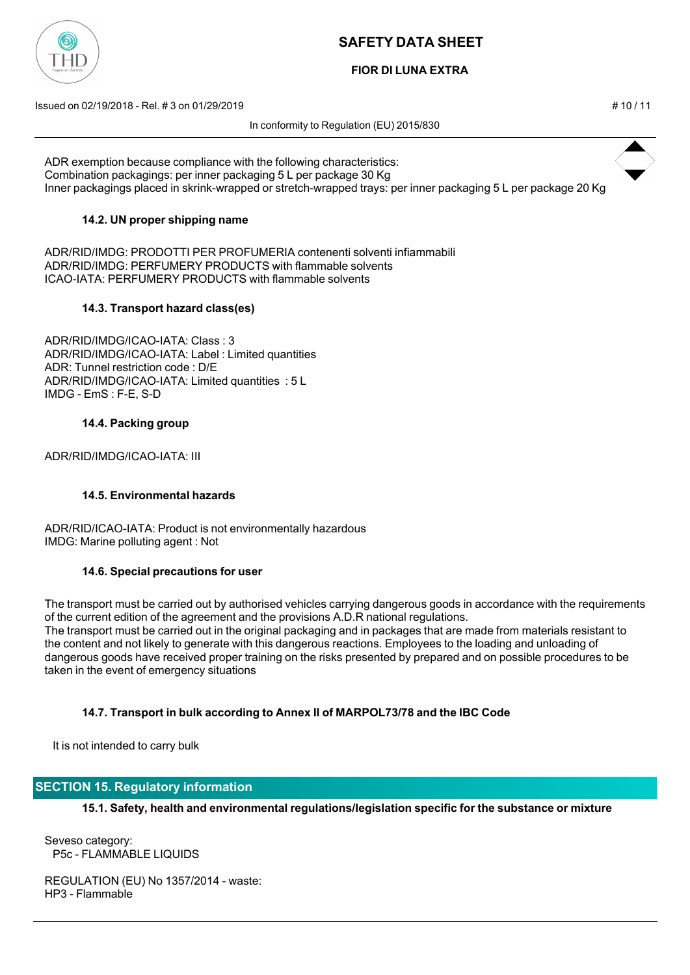

# **FIOR DI LUNA EXTRA**

Issued on 02/19/2018 - Rel. # 3 on 01/29/2019 # 10 / 11

In conformity to Regulation (EU) 2015/830



ADR exemption because compliance with the following characteristics: Combination packagings: per inner packaging 5 L per package 30 Kg Inner packagings placed in skrink-wrapped or stretch-wrapped trays: per inner packaging 5 L per package 20 Kg

## **14.2. UN proper shipping name**

ADR/RID/IMDG: PRODOTTI PER PROFUMERIA contenenti solventi infiammabili ADR/RID/IMDG: PERFUMERY PRODUCTS with flammable solvents ICAO-IATA: PERFUMERY PRODUCTS with flammable solvents

## **14.3. Transport hazard class(es)**

ADR/RID/IMDG/ICAO-IATA: Class : 3 ADR/RID/IMDG/ICAO-IATA: Label : Limited quantities ADR: Tunnel restriction code : D/E ADR/RID/IMDG/ICAO-IATA: Limited quantities : 5 L IMDG - EmS : F-E, S-D

## **14.4. Packing group**

ADR/RID/IMDG/ICAO-IATA: III

## **14.5. Environmental hazards**

ADR/RID/ICAO-IATA: Product is not environmentally hazardous IMDG: Marine polluting agent : Not

## **14.6. Special precautions for user**

The transport must be carried out by authorised vehicles carrying dangerous goods in accordance with the requirements of the current edition of the agreement and the provisions A.D.R national regulations. The transport must be carried out in the original packaging and in packages that are made from materials resistant to the content and not likely to generate with this dangerous reactions. Employees to the loading and unloading of dangerous goods have received proper training on the risks presented by prepared and on possible procedures to be taken in the event of emergency situations

## **14.7. Transport in bulk according to Annex II of MARPOL73/78 and the IBC Code**

It is not intended to carry bulk

# **SECTION 15. Regulatory information**

**15.1. Safety, health and environmental regulations/legislation specific for the substance or mixture**

Seveso category: P5c - FLAMMABLE LIQUIDS

REGULATION (EU) No 1357/2014 - waste: HP3 - Flammable